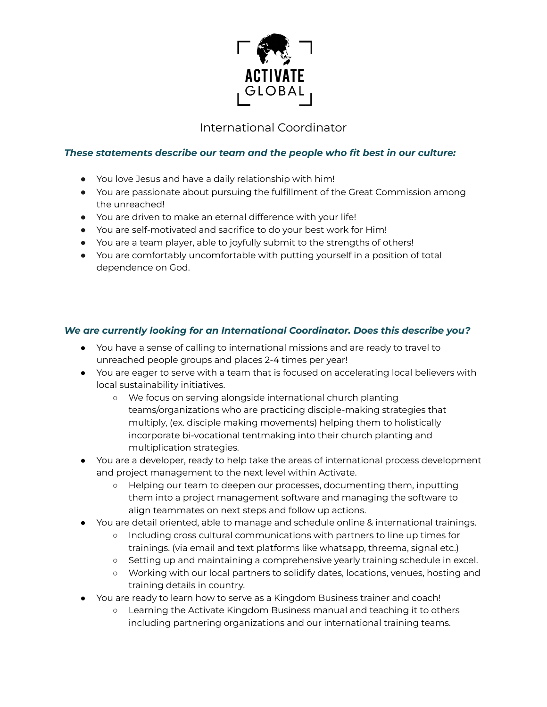

## International Coordinator

## *These statements describe our team and the people who fit best in our culture:*

- You love Jesus and have a daily relationship with him!
- You are passionate about pursuing the fulfillment of the Great Commission among the unreached!
- You are driven to make an eternal difference with your life!
- You are self-motivated and sacrifice to do your best work for Him!
- You are a team player, able to joyfully submit to the strengths of others!
- You are comfortably uncomfortable with putting yourself in a position of total dependence on God.

## *We are currently looking for an International Coordinator. Does this describe you?*

- You have a sense of calling to international missions and are ready to travel to unreached people groups and places 2-4 times per year!
- You are eager to serve with a team that is focused on accelerating local believers with local sustainability initiatives.
	- We focus on serving alongside international church planting teams/organizations who are practicing disciple-making strategies that multiply, (ex. disciple making movements) helping them to holistically incorporate bi-vocational tentmaking into their church planting and multiplication strategies.
- You are a developer, ready to help take the areas of international process development and project management to the next level within Activate.
	- Helping our team to deepen our processes, documenting them, inputting them into a project management software and managing the software to align teammates on next steps and follow up actions.
- You are detail oriented, able to manage and schedule online & international trainings.
	- Including cross cultural communications with partners to line up times for trainings. (via email and text platforms like whatsapp, threema, signal etc.)
	- Setting up and maintaining a comprehensive yearly training schedule in excel.
	- Working with our local partners to solidify dates, locations, venues, hosting and training details in country.
- You are ready to learn how to serve as a Kingdom Business trainer and coach!
	- Learning the Activate Kingdom Business manual and teaching it to others including partnering organizations and our international training teams.